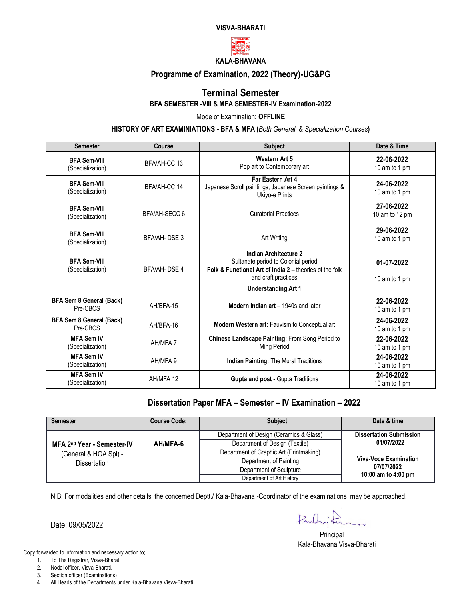#### **VISVA-BHARATI**



### **Programme of Examination, 2022 (Theory)-UG&PG**

#### **Terminal Semester BFA SEMESTER -VIII & MFA SEMESTER-IV Examination-2022**

Mode of Examination: **OFFLINE**

**HISTORY OF ART EXAMINIATIONS - BFA & MFA (***Both General & Specialization Courses***)**

| <b>Semester</b>                         | Course             | <b>Subject</b>                                                                                                                                        | Date & Time                  |
|-----------------------------------------|--------------------|-------------------------------------------------------------------------------------------------------------------------------------------------------|------------------------------|
| <b>BFA Sem-VIII</b><br>(Specialization) | BFA/AH-CC 13       | <b>Western Art 5</b><br>Pop art to Contemporary art                                                                                                   | 22-06-2022<br>10 am to 1 pm  |
| <b>BFA Sem-VIII</b><br>(Specialization) | BFA/AH-CC 14       | Far Eastern Art 4<br>Japanese Scroll paintings, Japanese Screen paintings &<br>Ukiyo-e Prints                                                         | 24-06-2022<br>10 am to 1 pm  |
| <b>BFA Sem-VIII</b><br>(Specialization) | BFA/AH-SECC 6      | <b>Curatorial Practices</b>                                                                                                                           | 27-06-2022<br>10 am to 12 pm |
| <b>BFA Sem-VIII</b><br>(Specialization) | <b>BFA/AH-DSE3</b> | Art Writing                                                                                                                                           | 29-06-2022<br>10 am to 1 pm  |
| <b>BFA Sem-VIII</b><br>(Specialization) | BFA/AH-DSE 4       | <b>Indian Architecture 2</b><br>Sultanate period to Colonial period<br>Folk & Functional Art of India 2 - theories of the folk<br>and craft practices | 01-07-2022<br>10 am to 1 pm  |
|                                         |                    | <b>Understanding Art 1</b>                                                                                                                            |                              |
| BFA Sem 8 General (Back)<br>Pre-CBCS    | AH/BFA-15          | Modern Indian art - 1940s and later                                                                                                                   | 22-06-2022<br>10 am to 1 pm  |
| BFA Sem 8 General (Back)<br>Pre-CBCS    | AH/BFA-16          | <b>Modern Western art: Fauvism to Conceptual art</b>                                                                                                  | 24-06-2022<br>10 am to 1 pm  |
| <b>MFA Sem IV</b><br>(Specialization)   | AH/MFA 7           | Chinese Landscape Painting: From Song Period to<br>Ming Period                                                                                        | 22-06-2022<br>10 am to 1 pm  |
| <b>MFA Sem IV</b><br>(Specialization)   | AH/MFA 9           | <b>Indian Painting: The Mural Traditions</b>                                                                                                          | 24-06-2022<br>10 am to 1 pm  |
| <b>MFA Sem IV</b><br>(Specialization)   | AH/MFA 12          | Gupta and post - Gupta Traditions                                                                                                                     | 24-06-2022<br>10 am to 1 pm  |

### **Dissertation Paper MFA – Semester – IV Examination – 2022**

| <b>Semester</b>                                                                        | <b>Course Code:</b> | <b>Subject</b>                          | Date & time                    |  |
|----------------------------------------------------------------------------------------|---------------------|-----------------------------------------|--------------------------------|--|
|                                                                                        |                     | Department of Design (Ceramics & Glass) | <b>Dissertation Submission</b> |  |
| MFA 2 <sup>nd</sup> Year - Semester-IV<br>(General & HOA Spl) -<br><b>Dissertation</b> | AH/MFA-6            | Department of Design (Textile)          | 01/07/2022                     |  |
|                                                                                        |                     | Department of Graphic Art (Printmaking) |                                |  |
|                                                                                        |                     | Department of Painting                  | <b>Viva-Voce Examination</b>   |  |
|                                                                                        |                     | Department of Sculpture                 | 07/07/2022                     |  |
|                                                                                        |                     | Department of Art History               | 10:00 am to 4:00 pm            |  |

N.B: For modalities and other details, the concerned Deptt./ Kala-Bhavana -Coordinator of the examinations may be approached.

Date: 09/05/2022

- 1. To The Registrar, Visva-Bharati
- 2. Nodal officer, Visva-Bharati.
- 3. Section officer (Examinations)
- 4. All Heads of the Departments under Kala-Bhavana Visva-Bharati

Parling  $\overline{\phantom{a}}$ 

**Principal** Kala-Bhavana Visva-Bharati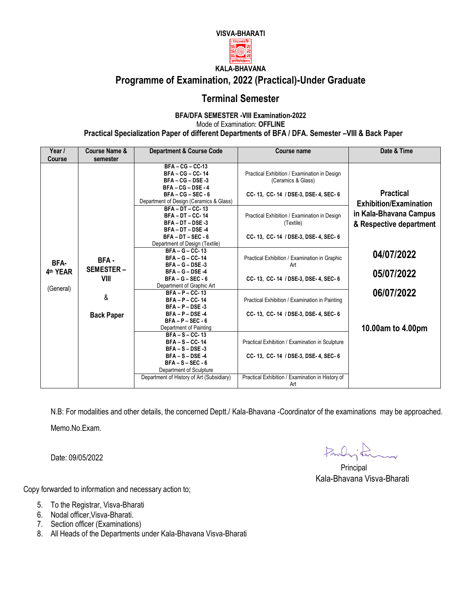

# **Programme of Examination, 2022 (Practical)-Under Graduate**

# **Terminal Semester**

#### **BFA/DFA SEMESTER -VIII Examination-2022** Mode of Examination: **OFFLINE Practical Specialization Paper of different Departments of BFA / DFA. Semester –VIII & Back Paper**

| Year /           | Course Name &                                                                                                                                                 | <b>Department &amp; Course Code</b>                                                                                                                                                        | Course name                                                                                                                                      | Date & Time                                       |  |
|------------------|---------------------------------------------------------------------------------------------------------------------------------------------------------------|--------------------------------------------------------------------------------------------------------------------------------------------------------------------------------------------|--------------------------------------------------------------------------------------------------------------------------------------------------|---------------------------------------------------|--|
| <b>Course</b>    | semester                                                                                                                                                      |                                                                                                                                                                                            |                                                                                                                                                  |                                                   |  |
|                  | $BFA - CG - CC-13$<br>$BFA - CG - CC - 14$<br>$BFA - CG - DSE - 3$<br>$BFA - CG - DSE - 4$<br>$BFA - CG - SEC - 6$<br>Department of Design (Ceramics & Glass) |                                                                                                                                                                                            | Practical Exhibition / Examination in Design<br>(Ceramics & Glass)<br>CC-13, CC-14 / DSE-3, DSE-4, SEC-6                                         | <b>Practical</b><br><b>Exhibition/Examination</b> |  |
|                  |                                                                                                                                                               | $BFA - DT - CC - 13$<br><b>BFA-DT-CC-14</b><br>BFA-DT-DSE-3<br>$BFA - DT - DSE -4$<br>$BFA - DT - SEC - 6$<br>Department of Design (Textile)                                               | Practical Exhibition / Examination in Design<br>(Textile)<br>CC-13, CC-14 / DSE-3, DSE-4, SEC-6                                                  | in Kala-Bhavana Campus<br>& Respective department |  |
| BFA-<br>4th YEAR | BFA-<br><b>SEMESTER-</b><br>VIII                                                                                                                              | $BFA-G-CC-13$<br>$BFA-G-CC-14$<br>$BFA-G-DSE-3$<br>$BFA-G-DSE-4$<br>$BFA-G-SEC-6$<br>Department of Graphic Art                                                                             | Practical Exhibition / Examination in Graphic<br>Art<br>CC-13, CC-14 / DSE-3, DSE-4, SEC-6                                                       | 04/07/2022<br>05/07/2022                          |  |
| (General)        | &<br><b>Back Paper</b>                                                                                                                                        | $BFA - P - CC - 13$<br>$BFA - P - CC - 14$<br>$BFA - P - DSE - 3$<br>$BFA - P - DSE - 4$<br>$BFA - P - SEC - 6$                                                                            | Practical Exhibition / Examination in Painting<br>CC-13, CC-14 / DSE-3, DSE-4, SEC-6                                                             | 06/07/2022                                        |  |
|                  |                                                                                                                                                               | Department of Painting<br>$BFA-S-CC-13$<br>$BFA-S-CC-14$<br>$BFA - S - DSE - 3$<br>$BFA-S-$ DSE-4<br>$BFA-S-SEC-6$<br>Department of Sculpture<br>Department of History of Art (Subsidiary) | Practical Exhibition / Examination in Sculpture<br>CC-13, CC-14 / DSE-3, DSE-4, SEC-6<br>Practical Exhibition / Examination in History of<br>Art | 10.00am to 4.00pm                                 |  |

N.B: For modalities and other details, the concerned Deptt./ Kala-Bhavana -Coordinator of the examinations may be approached. Memo.No.Exam.

Date: 09/05/2022

Parlington

**Principal Principal** Kala-Bhavana Visva-Bharati

- 5. To the Registrar, Visva-Bharati
- 6. Nodal officer,Visva-Bharati.
- 7. Section officer (Examinations)
- 8. All Heads of the Departments under Kala-Bhavana Visva-Bharati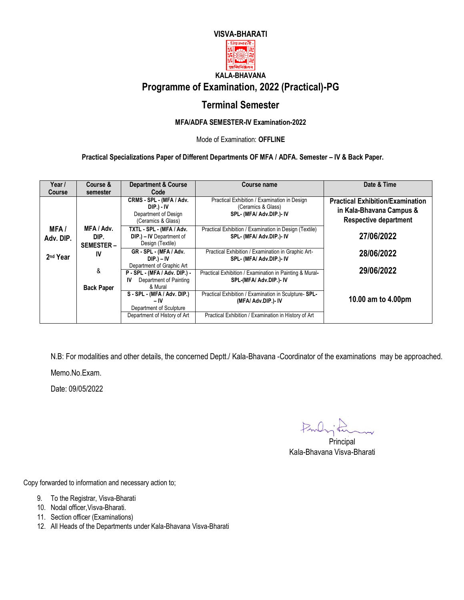



### **KALA-BHAVANA Programme of Examination, 2022 (Practical)-PG**

# **Terminal Semester**

#### **MFA/ADFA SEMESTER-IV Examination-2022**

Mode of Examination: **OFFLINE**

**Practical Specializations Paper of Different Departments OF MFA / ADFA. Semester – IV & Back Paper.** 

| Year /                   | Course &                               | <b>Department &amp; Course</b>                                                       | Course name                                                                                    | Date & Time                                                                                         |
|--------------------------|----------------------------------------|--------------------------------------------------------------------------------------|------------------------------------------------------------------------------------------------|-----------------------------------------------------------------------------------------------------|
| <b>Course</b>            | semester                               | Code                                                                                 |                                                                                                |                                                                                                     |
|                          |                                        | CRMS - SPL - (MFA / Adv.<br>DIP.) - IV<br>Department of Design<br>(Ceramics & Glass) | Practical Exhibition / Examination in Design<br>(Ceramics & Glass)<br>SPL- (MFA/ Adv.DIP.)- IV | <b>Practical Exhibition/Examination</b><br>in Kala-Bhavana Campus &<br><b>Respective department</b> |
| <b>MFA/</b><br>Adv. DIP. | MFA / Adv.<br>DIP.<br><b>SEMESTER-</b> | TXTL - SPL - (MFA / Adv.<br>DIP.) - IV Department of<br>Design (Textile)             | Practical Exhibition / Examination in Design (Textile)<br>SPL- (MFA/ Adv.DIP.)- IV             | 27/06/2022                                                                                          |
| 2 <sup>nd</sup> Year     | IV                                     | GR - SPL - (MFA / Adv.<br>$DIP.$ ) – IV<br>Department of Graphic Art                 | Practical Exhibition / Examination in Graphic Art-<br>SPL- (MFA/ Adv.DIP.)- IV                 | 28/06/2022                                                                                          |
|                          | &<br><b>Back Paper</b>                 | P - SPL - (MFA / Adv. DIP.) -<br>Department of Painting<br>IV<br>& Mural             | Practical Exhibition / Examination in Painting & Mural-<br>SPL-(MFA/ Adv.DIP.)- IV             | 29/06/2022                                                                                          |
|                          |                                        | S - SPL - (MFA / Adv. DIP.)<br>– IV<br>Department of Sculpture                       | Practical Exhibition / Examination in Sculpture- SPL-<br>(MFA/ Adv.DIP.)- IV                   | 10.00 am to 4.00pm                                                                                  |
|                          |                                        | Department of History of Art                                                         | Practical Exhibition / Examination in History of Art                                           |                                                                                                     |

N.B: For modalities and other details, the concerned Deptt./ Kala-Bhavana -Coordinator of the examinations may be approached.

Memo.No.Exam.

Date: 09/05/2022

Parlington

 Principal Kala-Bhavana Visva-Bharati

- 9. To the Registrar, Visva-Bharati
- 10. Nodal officer,Visva-Bharati.
- 11. Section officer (Examinations)
- 12. All Heads of the Departments under Kala-Bhavana Visva-Bharati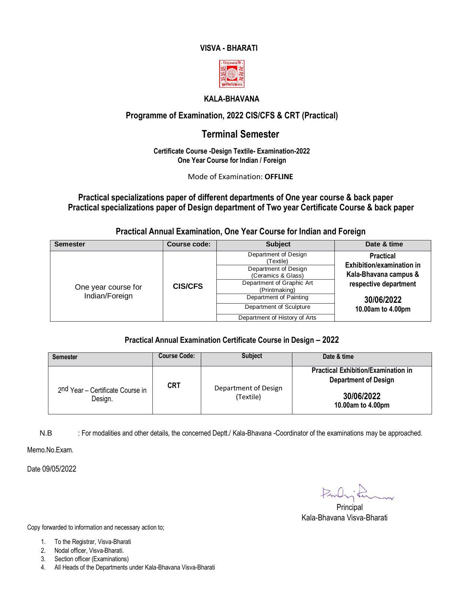#### **VISVA - BHARATI**



#### **KALA-BHAVANA**

### **Programme of Examination, 2022 CIS/CFS & CRT (Practical)**

### **Terminal Semester**

#### **Certificate Course -Design Textile- Examination-2022 One Year Course for Indian / Foreign**

Mode of Examination: **OFFLINE**

#### **Practical specializations paper of different departments of One year course & back paper Practical specializations paper of Design department of Two year Certificate Course & back paper**

**Practical Annual Examination, One Year Course for Indian and Foreign** 

| Course code:<br><b>Semester</b> |                | <b>Subject</b>                             | Date & time                                   |  |
|---------------------------------|----------------|--------------------------------------------|-----------------------------------------------|--|
|                                 |                | Department of Design<br>(Textile)          | <b>Practical</b><br>Exhibition/examination in |  |
|                                 |                | Department of Design<br>(Ceramics & Glass) | Kala-Bhavana campus &                         |  |
| One year course for             | <b>CIS/CFS</b> | Department of Graphic Art<br>(Printmaking) | respective department                         |  |
| Indian/Foreign                  |                | Department of Painting                     | 30/06/2022                                    |  |
|                                 |                | Department of Sculpture                    | 10.00am to 4.00pm                             |  |
|                                 |                | Department of History of Arts              |                                               |  |

#### **Practical Annual Examination Certificate Course in Design – 2022**

| <b>Semester</b>                             | <b>Course Code:</b> | <b>Subject</b>                    | Date & time                                                                                                  |
|---------------------------------------------|---------------------|-----------------------------------|--------------------------------------------------------------------------------------------------------------|
| 2nd Year - Certificate Course in<br>Design. | <b>CRT</b>          | Department of Design<br>(Textile) | <b>Practical Exhibition/Examination in</b><br><b>Department of Design</b><br>30/06/2022<br>10.00am to 4.00pm |

N.B : For modalities and other details, the concerned Deptt./ Kala-Bhavana -Coordinator of the examinations may be approached.

Memo.No.Exam.

Date 09/05/2022

Parlington

**Principal** Kala-Bhavana Visva-Bharati

- 1. To the Registrar, Visva-Bharati
- 2. Nodal officer, Visva-Bharati.
- 3. Section officer (Examinations)
- 4. All Heads of the Departments under Kala-Bhavana Visva-Bharati